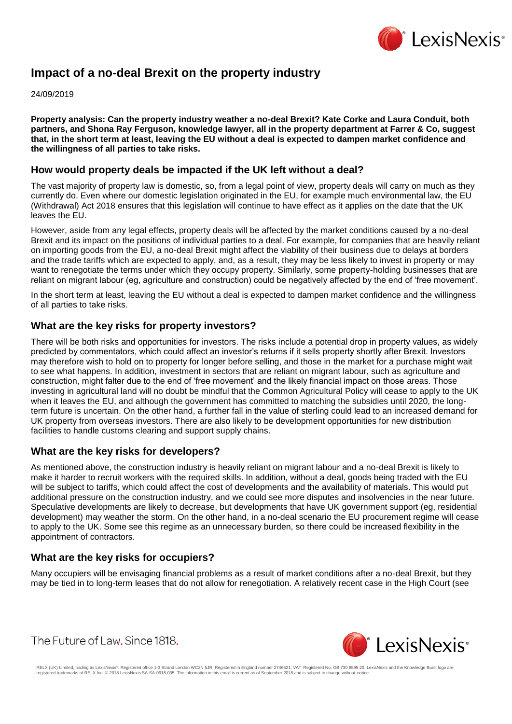

# **Impact of a no-deal Brexit on the property industry**

24/09/2019

**Property analysis: Can the property industry weather a no-deal Brexit? Kate Corke and Laura Conduit, both partners, and Shona Ray Ferguson, knowledge lawyer, all in the property department at Farrer & Co, suggest that, in the short term at least, leaving the EU without a deal is expected to dampen market confidence and the willingness of all parties to take risks.**

#### **How would property deals be impacted if the UK left without a deal?**

The vast majority of property law is domestic, so, from a legal point of view, property deals will carry on much as they currently do. Even where our domestic legislation originated in the EU, for example much environmental law, the EU (Withdrawal) Act 2018 ensures that this legislation will continue to have effect as it applies on the date that the UK leaves the EU.

However, aside from any legal effects, property deals will be affected by the market conditions caused by a no-deal Brexit and its impact on the positions of individual parties to a deal. For example, for companies that are heavily reliant on importing goods from the EU, a no-deal Brexit might affect the viability of their business due to delays at borders and the trade tariffs which are expected to apply, and, as a result, they may be less likely to invest in property or may want to renegotiate the terms under which they occupy property. Similarly, some property-holding businesses that are reliant on migrant labour (eg, agriculture and construction) could be negatively affected by the end of 'free movement'.

In the short term at least, leaving the EU without a deal is expected to dampen market confidence and the willingness of all parties to take risks.

### **What are the key risks for property investors?**

There will be both risks and opportunities for investors. The risks include a potential drop in property values, as widely predicted by commentators, which could affect an investor's returns if it sells property shortly after Brexit. Investors may therefore wish to hold on to property for longer before selling, and those in the market for a purchase might wait to see what happens. In addition, investment in sectors that are reliant on migrant labour, such as agriculture and construction, might falter due to the end of 'free movement' and the likely financial impact on those areas. Those investing in agricultural land will no doubt be mindful that the Common Agricultural Policy will cease to apply to the UK when it leaves the EU, and although the government has committed to matching the subsidies until 2020, the longterm future is uncertain. On the other hand, a further fall in the value of sterling could lead to an increased demand for UK property from overseas investors. There are also likely to be development opportunities for new distribution facilities to handle customs clearing and support supply chains.

#### **What are the key risks for developers?**

As mentioned above, the construction industry is heavily reliant on migrant labour and a no-deal Brexit is likely to make it harder to recruit workers with the required skills. In addition, without a deal, goods being traded with the EU will be subject to tariffs, which could affect the cost of developments and the availability of materials. This would put additional pressure on the construction industry, and we could see more disputes and insolvencies in the near future. Speculative developments are likely to decrease, but developments that have UK government support (eg, residential development) may weather the storm. On the other hand, in a no-deal scenario the EU procurement regime will cease to apply to the UK. Some see this regime as an unnecessary burden, so there could be increased flexibility in the appointment of contractors.

# **What are the key risks for occupiers?**

Many occupiers will be envisaging financial problems as a result of market conditions after a no-deal Brexit, but they may be tied in to long-term leases that do not allow for renegotiation. A relatively recent case in the High Court (see

The Future of Law. Since 1818.



RELX (UK) Limited, trading as LexisNexis®. Registered office 1-3 Strand London WC2N 5JR. Registered in England number 2746621. VAT Registered No. GB 730 8595 20. LexisNexis and the Knowledge Burst logo are<br>registered trade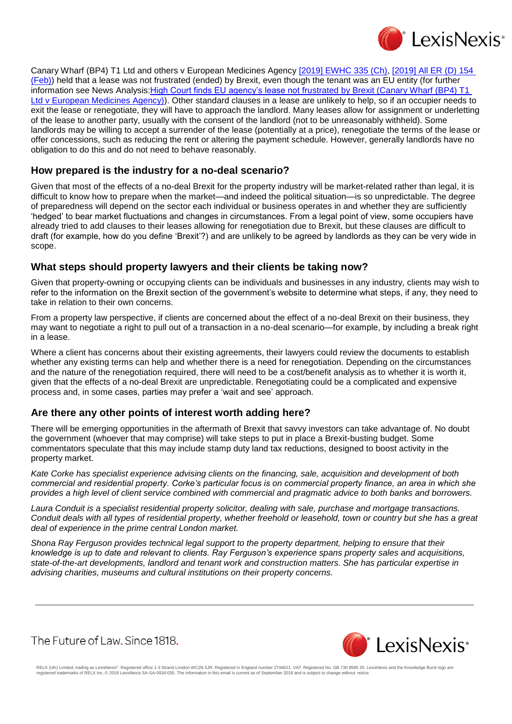

Canary Wharf (BP4) T1 Ltd and others v European Medicines Agency [\[2019\] EWHC 335 \(Ch\),](https://www.lexisnexis.com/uk/lexispsl/bankingandfinance/citationlinkHandler.faces?bct=A&service=citation&risb=&EWHCCH&$sel1!%252019%25$year!%252019%25$page!%25335%25) [2019] All ER (D) 154 [\(Feb\)\)](https://www.lexisnexis.com/uk/lexispsl/bankingandfinance/citationlinkHandler.faces?bct=A&service=citation&risb=&ALLERD&$sel1!%252019%25$year!%252019%25$sel2!%2502%25$vol!%2502%25$page!%25154%25) held that a lease was not frustrated (ended) by Brexit, even though the tenant was an EU entity (for further information see News Analysis[:High Court finds EU agency's lease not frustrated by Brexit \(Canary Wharf \(BP4\) T1](https://www.lexisnexis.com/uk/lexispsl/bankingandfinance/linkHandler.faces?ps=null&bct=A&homeCsi=412012&A=0.9703595173402587&urlEnc=ISO-8859-1&&dpsi=0S4D&remotekey1=DOC-ID&remotekey2=0S4D_3200130&service=DOC-ID&origdpsi=0S4D)  [Ltd v European Medicines Agency\)\)](https://www.lexisnexis.com/uk/lexispsl/bankingandfinance/linkHandler.faces?ps=null&bct=A&homeCsi=412012&A=0.9703595173402587&urlEnc=ISO-8859-1&&dpsi=0S4D&remotekey1=DOC-ID&remotekey2=0S4D_3200130&service=DOC-ID&origdpsi=0S4D). Other standard clauses in a lease are unlikely to help, so if an occupier needs to exit the lease or renegotiate, they will have to approach the landlord. Many leases allow for assignment or underletting of the lease to another party, usually with the consent of the landlord (not to be unreasonably withheld). Some landlords may be willing to accept a surrender of the lease (potentially at a price), renegotiate the terms of the lease or offer concessions, such as reducing the rent or altering the payment schedule. However, generally landlords have no obligation to do this and do not need to behave reasonably.

# **How prepared is the industry for a no-deal scenario?**

Given that most of the effects of a no-deal Brexit for the property industry will be market-related rather than legal, it is difficult to know how to prepare when the market—and indeed the political situation—is so unpredictable. The degree of preparedness will depend on the sector each individual or business operates in and whether they are sufficiently 'hedged' to bear market fluctuations and changes in circumstances. From a legal point of view, some occupiers have already tried to add clauses to their leases allowing for renegotiation due to Brexit, but these clauses are difficult to draft (for example, how do you define 'Brexit'?) and are unlikely to be agreed by landlords as they can be very wide in scope.

### **What steps should property lawyers and their clients be taking now?**

Given that property-owning or occupying clients can be individuals and businesses in any industry, clients may wish to refer to the information on the Brexit section of the government's website to determine what steps, if any, they need to take in relation to their own concerns.

From a property law perspective, if clients are concerned about the effect of a no-deal Brexit on their business, they may want to negotiate a right to pull out of a transaction in a no-deal scenario—for example, by including a break right in a lease.

Where a client has concerns about their existing agreements, their lawyers could review the documents to establish whether any existing terms can help and whether there is a need for renegotiation. Depending on the circumstances and the nature of the renegotiation required, there will need to be a cost/benefit analysis as to whether it is worth it, given that the effects of a no-deal Brexit are unpredictable. Renegotiating could be a complicated and expensive process and, in some cases, parties may prefer a 'wait and see' approach.

# **Are there any other points of interest worth adding here?**

There will be emerging opportunities in the aftermath of Brexit that savvy investors can take advantage of. No doubt the government (whoever that may comprise) will take steps to put in place a Brexit-busting budget. Some commentators speculate that this may include stamp duty land tax reductions, designed to boost activity in the property market.

*Kate Corke has specialist experience advising clients on the financing, sale, acquisition and development of both commercial and residential property. Corke's particular focus is on commercial property finance, an area in which she provides a high level of client service combined with commercial and pragmatic advice to both banks and borrowers.*

*Laura Conduit is a specialist residential property solicitor, dealing with sale, purchase and mortgage transactions. Conduit deals with all types of residential property, whether freehold or leasehold, town or country but she has a great deal of experience in the prime central London market.*

*Shona Ray Ferguson provides technical legal support to the property department, helping to ensure that their knowledge is up to date and relevant to clients. Ray Ferguson's experience spans property sales and acquisitions, state-of-the-art developments, landlord and tenant work and construction matters. She has particular expertise in advising charities, museums and cultural institutions on their property concerns.*

The Future of Law, Since 1818.



RELX (UK) Limited, trading as LexisNexis®. Registered office 1-3 Strand London WC2N 5JR. Registered in England number 2746621. VAT Registered No. GB 730 8595 20. LexisNexis and the Knowledge Burst logo are<br>registered trade